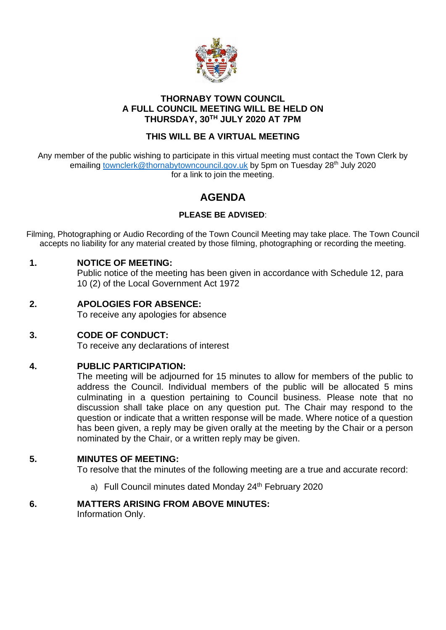

## **THORNABY TOWN COUNCIL A FULL COUNCIL MEETING WILL BE HELD ON THURSDAY, 30TH JULY 2020 AT 7PM**

## **THIS WILL BE A VIRTUAL MEETING**

Any member of the public wishing to participate in this virtual meeting must contact the Town Clerk by emailing [townclerk@thornabytowncouncil.gov.uk](mailto:townclerk@thornabytowncouncil.gov.uk) by 5pm on Tuesday 28<sup>th</sup> July 2020 for a link to join the meeting.

# **AGENDA**

## **PLEASE BE ADVISED**:

Filming, Photographing or Audio Recording of the Town Council Meeting may take place. The Town Council accepts no liability for any material created by those filming, photographing or recording the meeting.

## **1. NOTICE OF MEETING:**

Public notice of the meeting has been given in accordance with Schedule 12, para 10 (2) of the Local Government Act 1972

**2. APOLOGIES FOR ABSENCE:**

To receive any apologies for absence

**3. CODE OF CONDUCT:** To receive any declarations of interest

## **4. PUBLIC PARTICIPATION:**

The meeting will be adjourned for 15 minutes to allow for members of the public to address the Council. Individual members of the public will be allocated 5 mins culminating in a question pertaining to Council business. Please note that no discussion shall take place on any question put. The Chair may respond to the question or indicate that a written response will be made. Where notice of a question has been given, a reply may be given orally at the meeting by the Chair or a person nominated by the Chair, or a written reply may be given.

## **5. MINUTES OF MEETING:**

To resolve that the minutes of the following meeting are a true and accurate record:

a) Full Council minutes dated Monday 24<sup>th</sup> February 2020

## **6. MATTERS ARISING FROM ABOVE MINUTES:**

Information Only.